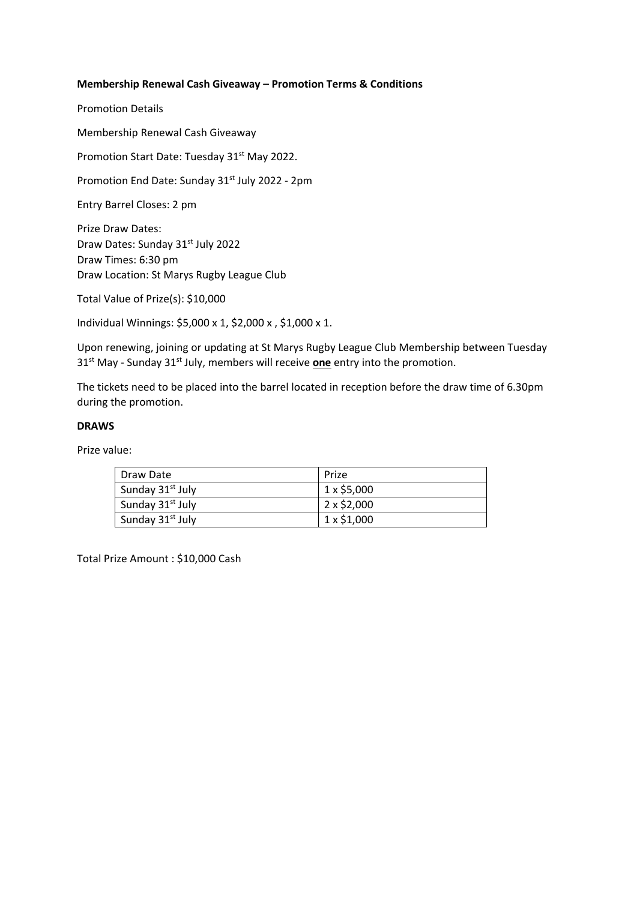# **Membership Renewal Cash Giveaway – Promotion Terms & Conditions**

Promotion Details

Membership Renewal Cash Giveaway

Promotion Start Date: Tuesday 31<sup>st</sup> May 2022.

Promotion End Date: Sunday 31<sup>st</sup> July 2022 - 2pm

Entry Barrel Closes: 2 pm

Prize Draw Dates: Draw Dates: Sunday 31st July 2022 Draw Times: 6:30 pm Draw Location: St Marys Rugby League Club

Total Value of Prize(s): \$10,000

Individual Winnings: \$5,000 x 1, \$2,000 x , \$1,000 x 1.

Upon renewing, joining or updating at St Marys Rugby League Club Membership between Tuesday 31<sup>st</sup> May - Sunday 31<sup>st</sup> July, members will receive **one** entry into the promotion.

The tickets need to be placed into the barrel located in reception before the draw time of 6.30pm during the promotion.

## **DRAWS**

Prize value:

| Draw Date                    | Prize             |
|------------------------------|-------------------|
| Sunday 31 <sup>st</sup> July | $1 \times $5,000$ |
| Sunday 31 <sup>st</sup> July | $2 \times $2,000$ |
| Sunday 31 <sup>st</sup> July | $1 \times $1,000$ |

Total Prize Amount : \$10,000 Cash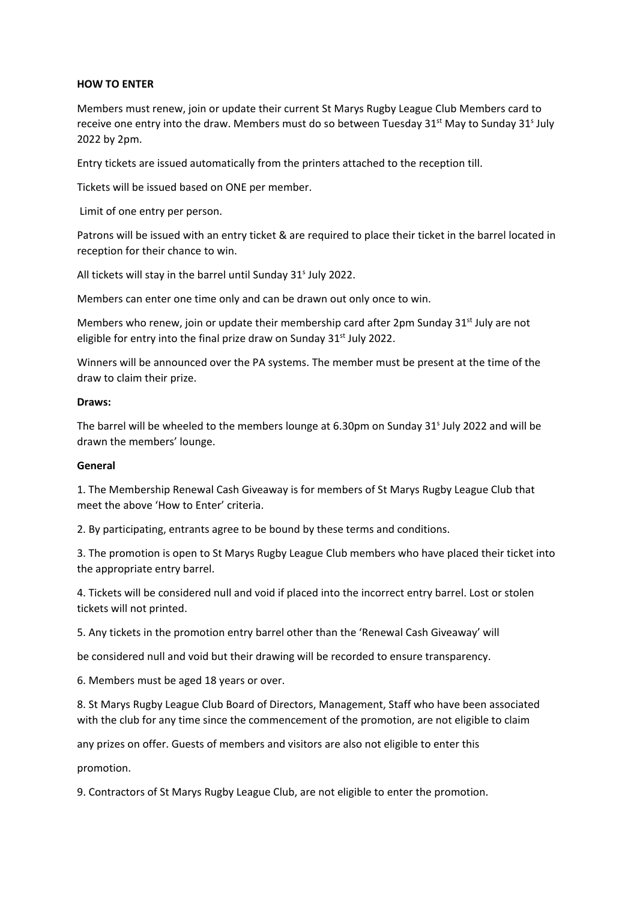## **HOW TO ENTER**

Members must renew, join or update their current St Marys Rugby League Club Members card to receive one entry into the draw. Members must do so between Tuesday 31st May to Sunday 31<sup>s</sup> July 2022 by 2pm.

Entry tickets are issued automatically from the printers attached to the reception till.

Tickets will be issued based on ONE per member.

Limit of one entry per person.

Patrons will be issued with an entry ticket & are required to place their ticket in the barrel located in reception for their chance to win.

All tickets will stay in the barrel until Sunday 31<sup>s</sup> July 2022.

Members can enter one time only and can be drawn out only once to win.

Members who renew, join or update their membership card after 2pm Sunday 31<sup>st</sup> July are not eligible for entry into the final prize draw on Sunday  $31<sup>st</sup>$  July 2022.

Winners will be announced over the PA systems. The member must be present at the time of the draw to claim their prize.

#### **Draws:**

The barrel will be wheeled to the members lounge at 6.30pm on Sunday  $31<sup>s</sup>$  July 2022 and will be drawn the members' lounge.

#### **General**

1. The Membership Renewal Cash Giveaway is for members of St Marys Rugby League Club that meet the above 'How to Enter' criteria.

2. By participating, entrants agree to be bound by these terms and conditions.

3. The promotion is open to St Marys Rugby League Club members who have placed their ticket into the appropriate entry barrel.

4. Tickets will be considered null and void if placed into the incorrect entry barrel. Lost or stolen tickets will not printed.

5. Any tickets in the promotion entry barrel other than the 'Renewal Cash Giveaway' will

be considered null and void but their drawing will be recorded to ensure transparency.

6. Members must be aged 18 years or over.

8. St Marys Rugby League Club Board of Directors, Management, Staff who have been associated with the club for any time since the commencement of the promotion, are not eligible to claim

any prizes on offer. Guests of members and visitors are also not eligible to enter this

promotion.

9. Contractors of St Marys Rugby League Club, are not eligible to enter the promotion.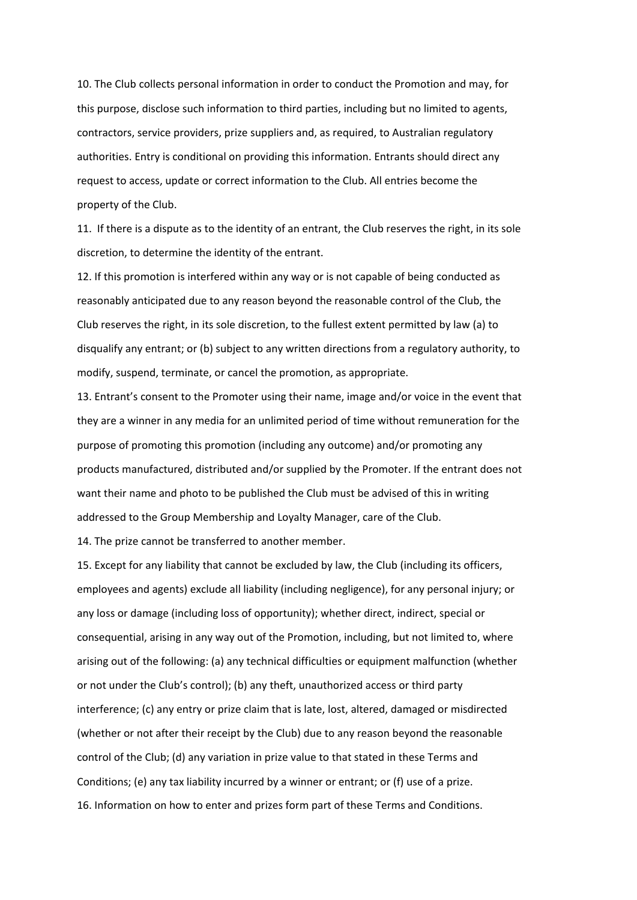10. The Club collects personal information in order to conduct the Promotion and may, for this purpose, disclose such information to third parties, including but no limited to agents, contractors, service providers, prize suppliers and, as required, to Australian regulatory authorities. Entry is conditional on providing this information. Entrants should direct any request to access, update or correct information to the Club. All entries become the property of the Club.

11. If there is a dispute as to the identity of an entrant, the Club reserves the right, in its sole discretion, to determine the identity of the entrant.

12. If this promotion is interfered within any way or is not capable of being conducted as reasonably anticipated due to any reason beyond the reasonable control of the Club, the Club reserves the right, in its sole discretion, to the fullest extent permitted by law (a) to disqualify any entrant; or (b) subject to any written directions from a regulatory authority, to modify, suspend, terminate, or cancel the promotion, as appropriate.

13. Entrant's consent to the Promoter using their name, image and/or voice in the event that they are a winner in any media for an unlimited period of time without remuneration for the purpose of promoting this promotion (including any outcome) and/or promoting any products manufactured, distributed and/or supplied by the Promoter. If the entrant does not want their name and photo to be published the Club must be advised of this in writing addressed to the Group Membership and Loyalty Manager, care of the Club.

14. The prize cannot be transferred to another member.

15. Except for any liability that cannot be excluded by law, the Club (including its officers, employees and agents) exclude all liability (including negligence), for any personal injury; or any loss or damage (including loss of opportunity); whether direct, indirect, special or consequential, arising in any way out of the Promotion, including, but not limited to, where arising out of the following: (a) any technical difficulties or equipment malfunction (whether or not under the Club's control); (b) any theft, unauthorized access or third party interference; (c) any entry or prize claim that is late, lost, altered, damaged or misdirected (whether or not after their receipt by the Club) due to any reason beyond the reasonable control of the Club; (d) any variation in prize value to that stated in these Terms and Conditions; (e) any tax liability incurred by a winner or entrant; or (f) use of a prize. 16. Information on how to enter and prizes form part of these Terms and Conditions.